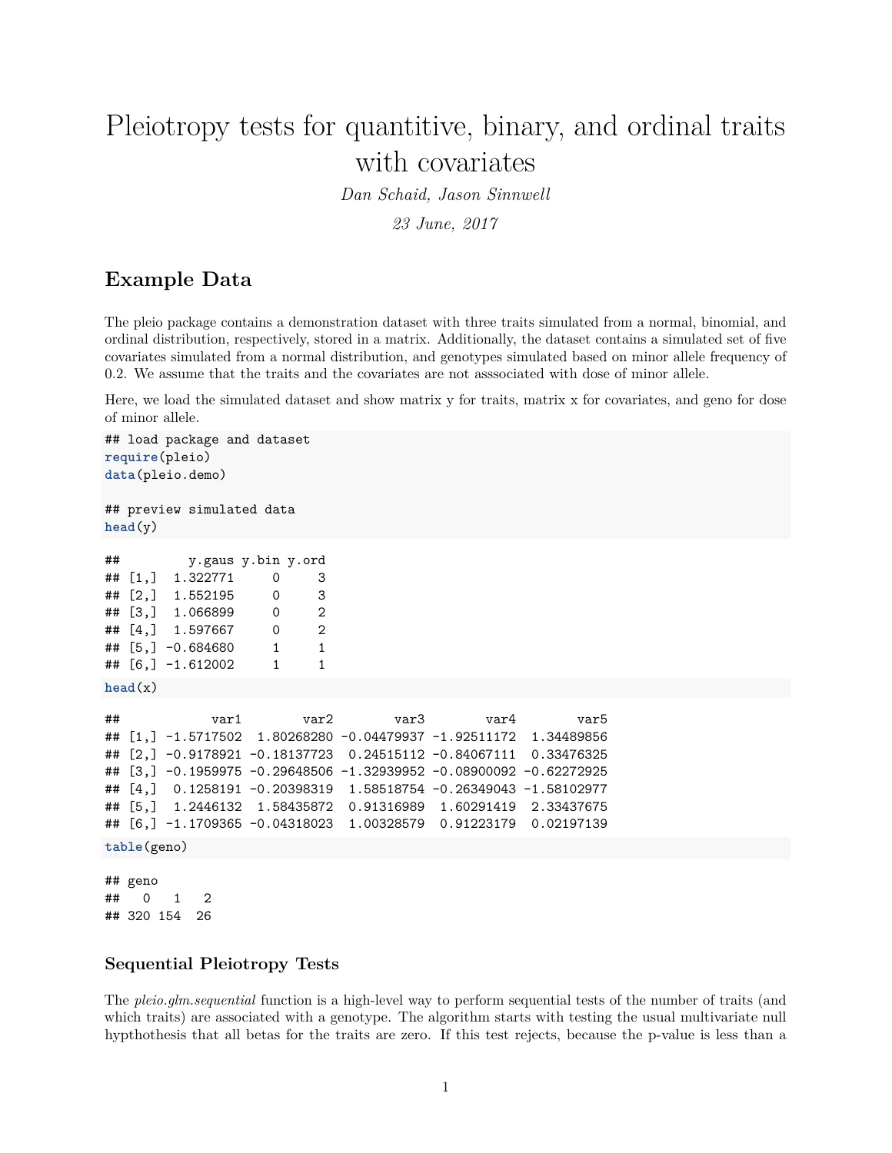# Pleiotropy tests for quantitive, binary, and ordinal traits with covariates

*Dan Schaid, Jason Sinnwell*

*23 June, 2017*

# **Example Data**

The pleio package contains a demonstration dataset with three traits simulated from a normal, binomial, and ordinal distribution, respectively, stored in a matrix. Additionally, the dataset contains a simulated set of five covariates simulated from a normal distribution, and genotypes simulated based on minor allele frequency of 0.2. We assume that the traits and the covariates are not asssociated with dose of minor allele.

Here, we load the simulated dataset and show matrix y for traits, matrix x for covariates, and geno for dose of minor allele.

```
## load package and dataset
require(pleio)
data(pleio.demo)
## preview simulated data
head(v)## y.gaus y.bin y.ord
## [1,] 1.322771 0 3
## [2,] 1.552195 0 3
## [3,] 1.066899 0 2
## [4,] 1.597667 0 2
## [5,] -0.684680 1 1
## [6,] -1.612002 1 1
head(x)## var1 var2 var3 var4 var5
## [1,] -1.5717502 1.80268280 -0.04479937 -1.92511172 1.34489856
## [2,] -0.9178921 -0.18137723 0.24515112 -0.84067111 0.33476325
## [3,] -0.1959975 -0.29648506 -1.32939952 -0.08900092 -0.62272925
## [4,] 0.1258191 -0.20398319 1.58518754 -0.26349043 -1.58102977
## [5,] 1.2446132 1.58435872 0.91316989 1.60291419 2.33437675
## [6,] -1.1709365 -0.04318023 1.00328579 0.91223179 0.02197139
table(geno)
## geno
## 0 1 2
## 320 154 26
```
### **Sequential Pleiotropy Tests**

The *pleio.glm.sequential* function is a high-level way to perform sequential tests of the number of traits (and which traits) are associated with a genotype. The algorithm starts with testing the usual multivariate null hypthothesis that all betas for the traits are zero. If this test rejects, because the p-value is less than a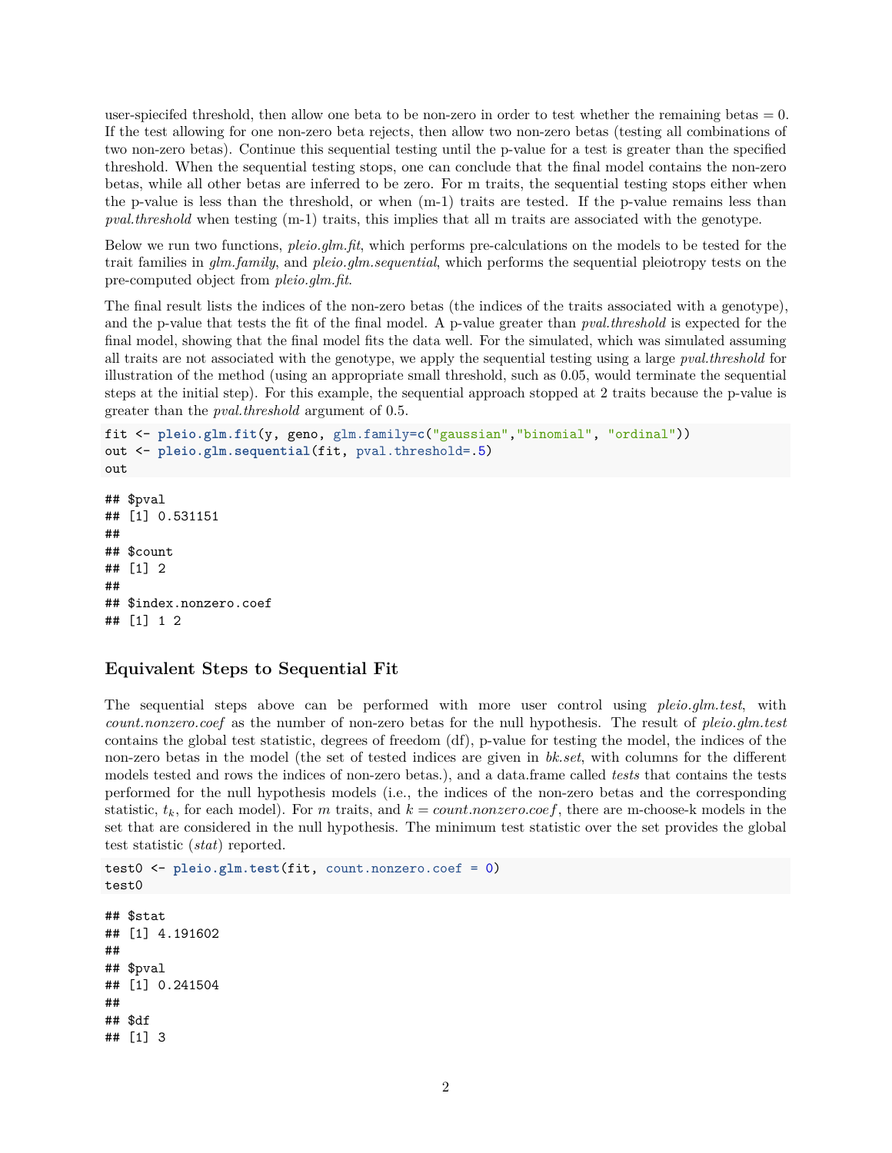user-spiecifed threshold, then allow one beta to be non-zero in order to test whether the remaining betas  $= 0$ . If the test allowing for one non-zero beta rejects, then allow two non-zero betas (testing all combinations of two non-zero betas). Continue this sequential testing until the p-value for a test is greater than the specified threshold. When the sequential testing stops, one can conclude that the final model contains the non-zero betas, while all other betas are inferred to be zero. For m traits, the sequential testing stops either when the p-value is less than the threshold, or when (m-1) traits are tested. If the p-value remains less than *pval.threshold* when testing (m-1) traits, this implies that all m traits are associated with the genotype.

Below we run two functions, *pleio.glm.fit*, which performs pre-calculations on the models to be tested for the trait families in *glm.family*, and *pleio.glm.sequential*, which performs the sequential pleiotropy tests on the pre-computed object from *pleio.glm.fit*.

The final result lists the indices of the non-zero betas (the indices of the traits associated with a genotype), and the p-value that tests the fit of the final model. A p-value greater than *pval.threshold* is expected for the final model, showing that the final model fits the data well. For the simulated, which was simulated assuming all traits are not associated with the genotype, we apply the sequential testing using a large *pval.threshold* for illustration of the method (using an appropriate small threshold, such as 0.05, would terminate the sequential steps at the initial step). For this example, the sequential approach stopped at 2 traits because the p-value is greater than the *pval.threshold* argument of 0.5.

```
fit <- pleio.glm.fit(y, geno, glm.family=c("gaussian","binomial", "ordinal"))
out <- pleio.glm.sequential(fit, pval.threshold=.5)
out
## $pval
## [1] 0.531151
##
## $count
## [1] 2
##
```

```
## $index.nonzero.coef
## [1] 1 2
```
## **Equivalent Steps to Sequential Fit**

The sequential steps above can be performed with more user control using *pleio.glm.test*, with *count.nonzero.coef* as the number of non-zero betas for the null hypothesis. The result of *pleio.glm.test* contains the global test statistic, degrees of freedom (df), p-value for testing the model, the indices of the non-zero betas in the model (the set of tested indices are given in *bk.set*, with columns for the different models tested and rows the indices of non-zero betas.), and a data.frame called *tests* that contains the tests performed for the null hypothesis models (i.e., the indices of the non-zero betas and the corresponding statistic,  $t_k$ , for each model). For *m* traits, and  $k = count.nonzero.coef$ , there are m-choose-k models in the set that are considered in the null hypothesis. The minimum test statistic over the set provides the global test statistic (*stat*) reported.

```
test0 <- pleio.glm.test(fit, count.nonzero.coef = 0)
test0
## $stat
## [1] 4.191602
##
## $pval
## [1] 0.241504
##
## $df
## [1] 3
```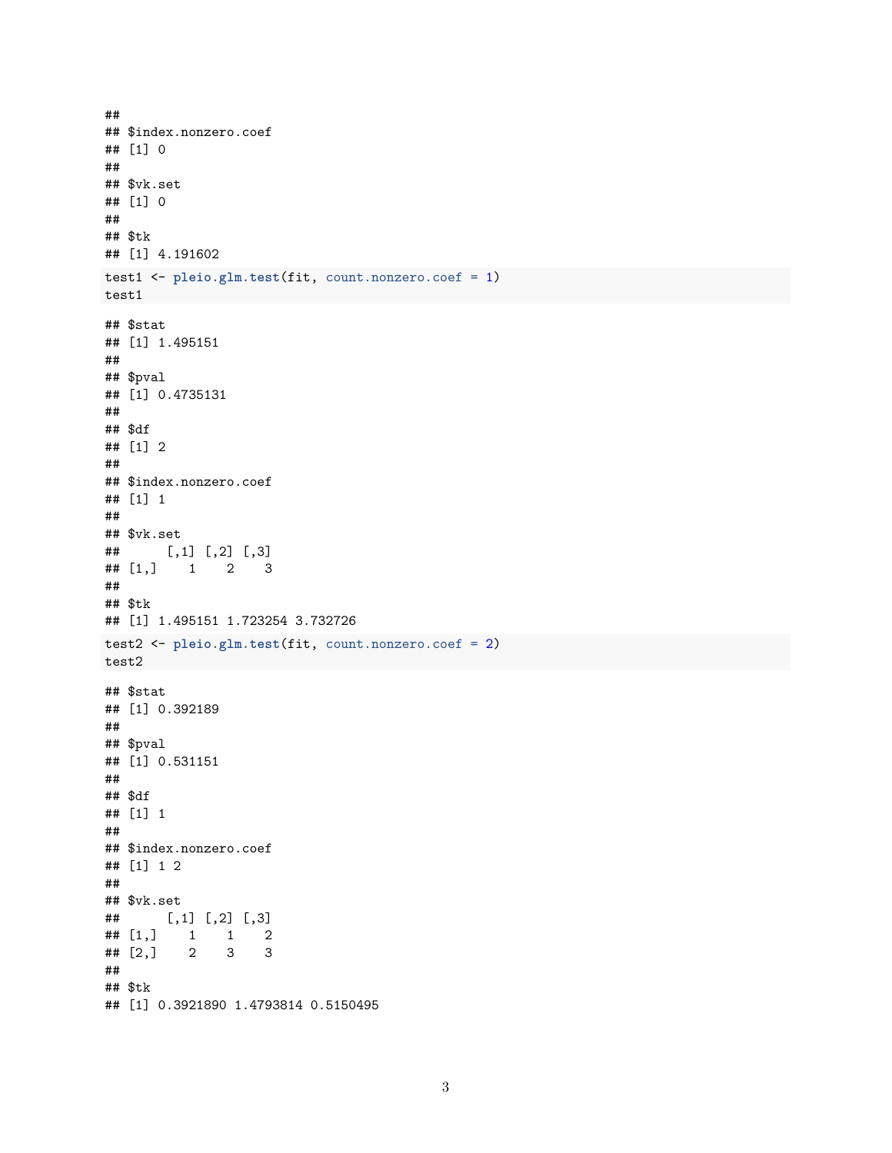```
##
## $index.nonzero.coef
## [1] 0
##
## $vk.set
## [1] 0
##
## $tk
## [1] 4.191602
test1 <- pleio.glm.test(fit, count.nonzero.coef = 1)
test1
## $stat
## [1] 1.495151
##
## $pval
## [1] 0.4735131
##
## $df
## [1] 2
##
## $index.nonzero.coef
## [1] 1
##
## $vk.set
## [,1] [,2] [,3]
## [1,] 1 2 3
##
## $tk
## [1] 1.495151 1.723254 3.732726
test2 <- pleio.glm.test(fit, count.nonzero.coef = 2)
test2
## $stat
## [1] 0.392189
##
## $pval
## [1] 0.531151
##
## $df
## [1] 1
##
## $index.nonzero.coef
## [1] 1 2
##
## $vk.set
## [,1] [,2] [,3]
## [1,] 1 1 2
## [2,] 2 3 3
##
## $tk
## [1] 0.3921890 1.4793814 0.5150495
```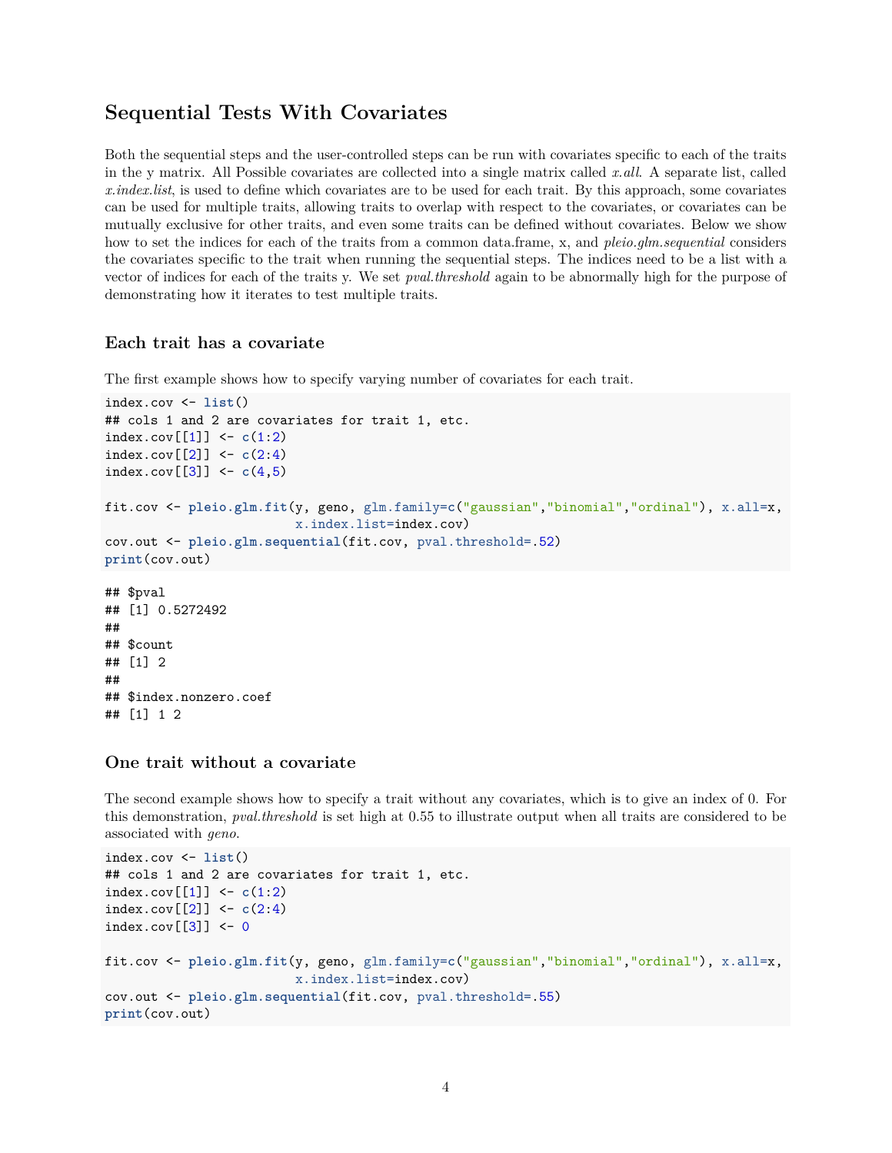## **Sequential Tests With Covariates**

Both the sequential steps and the user-controlled steps can be run with covariates specific to each of the traits in the y matrix. All Possible covariates are collected into a single matrix called *x.all*. A separate list, called *x.index.list*, is used to define which covariates are to be used for each trait. By this approach, some covariates can be used for multiple traits, allowing traits to overlap with respect to the covariates, or covariates can be mutually exclusive for other traits, and even some traits can be defined without covariates. Below we show how to set the indices for each of the traits from a common data.frame, x, and *pleio.glm.sequential* considers the covariates specific to the trait when running the sequential steps. The indices need to be a list with a vector of indices for each of the traits y. We set *pval.threshold* again to be abnormally high for the purpose of demonstrating how it iterates to test multiple traits.

#### **Each trait has a covariate**

The first example shows how to specify varying number of covariates for each trait.

```
index.cov <- list()
## cols 1 and 2 are covariates for trait 1, etc.
index.cov[[1]] \leftarrow c(1:2)index.cov[2] <- c(2:4)index.cov[3] <- c(4,5)fit.cov <- pleio.glm.fit(y, geno, glm.family=c("gaussian","binomial","ordinal"), x.all=x,
                         x.index.list=index.cov)
cov.out <- pleio.glm.sequential(fit.cov, pval.threshold=.52)
print(cov.out)
## $pval
## [1] 0.5272492
##
## $count
## [1] 2
##
## $index.nonzero.coef
## [1] 1 2
```
#### **One trait without a covariate**

The second example shows how to specify a trait without any covariates, which is to give an index of 0. For this demonstration, *pval.threshold* is set high at 0.55 to illustrate output when all traits are considered to be associated with *geno*.

```
index.cov <- list()
## cols 1 and 2 are covariates for trait 1, etc.
index.cov[[1]] \leftarrow c(1:2)index.cov\lceil 2 \rceil] <- c(2:4)index.cov[3] <- 0
fit.cov <- pleio.glm.fit(y, geno, glm.family=c("gaussian","binomial","ordinal"), x.all=x,
                          x.index.list=index.cov)
cov.out <- pleio.glm.sequential(fit.cov, pval.threshold=.55)
print(cov.out)
```